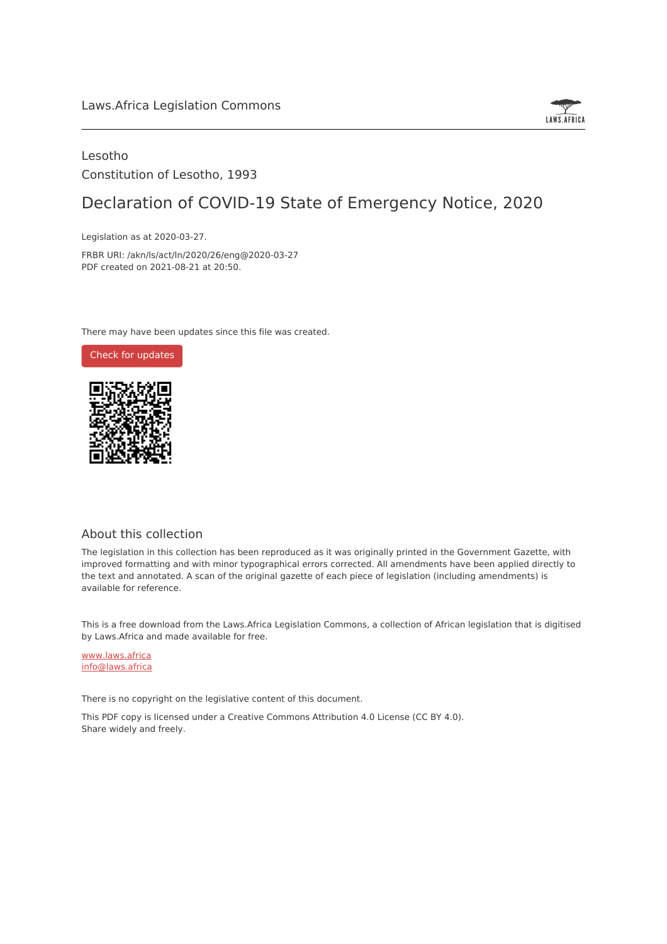

### Lesotho Constitution of Lesotho, 1993

# Declaration of COVID-19 State of Emergency Notice, 2020

Legislation as at 2020-03-27.

FRBR URI: /akn/ls/act/ln/2020/26/eng@2020-03-27 PDF created on 2021-08-21 at 20:50.

There may have been updates since this file was created.



#### About this collection

The legislation in this collection has been reproduced as it was originally printed in the Government Gazette, with improved formatting and with minor typographical errors corrected. All amendments have been applied directly to the text and annotated. A scan of the original gazette of each piece of legislation (including amendments) is available for reference.

This is a free download from the Laws.Africa Legislation Commons, a collection of African legislation that is digitised by Laws.Africa and made available for free.

[www.laws.africa](https://www.laws.africa) [info@laws.africa](mailto:info@laws.africa)

There is no copyright on the legislative content of this document.

This PDF copy is licensed under a Creative Commons Attribution 4.0 License (CC BY 4.0). Share widely and freely.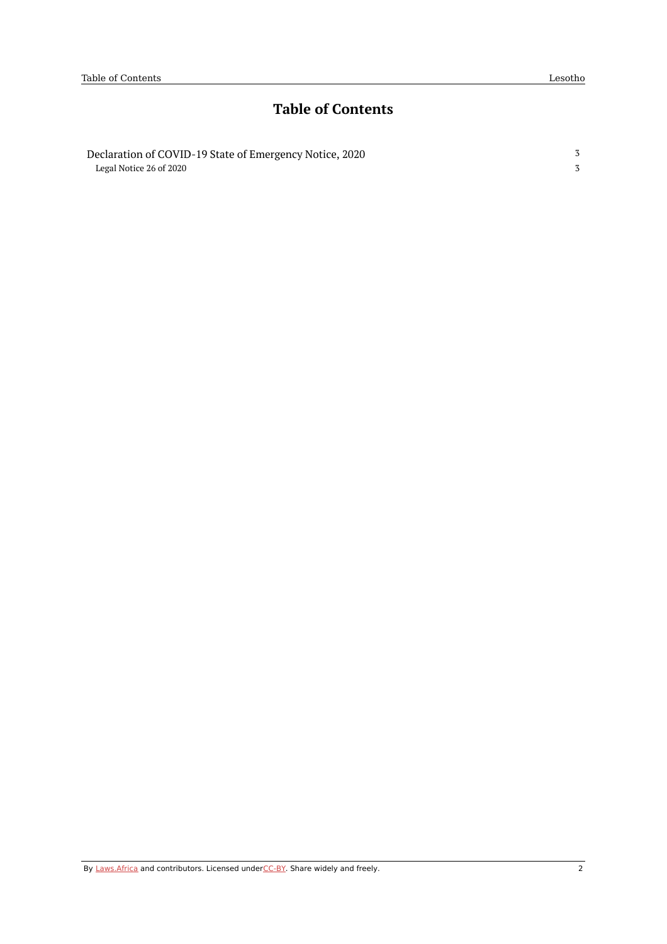3 3

### **Table of Contents**

[Declaration](#page-2-0) of COVID-19 State of Emergency Notice, 2020 Legal [Notice](#page-2-1) 26 of 2020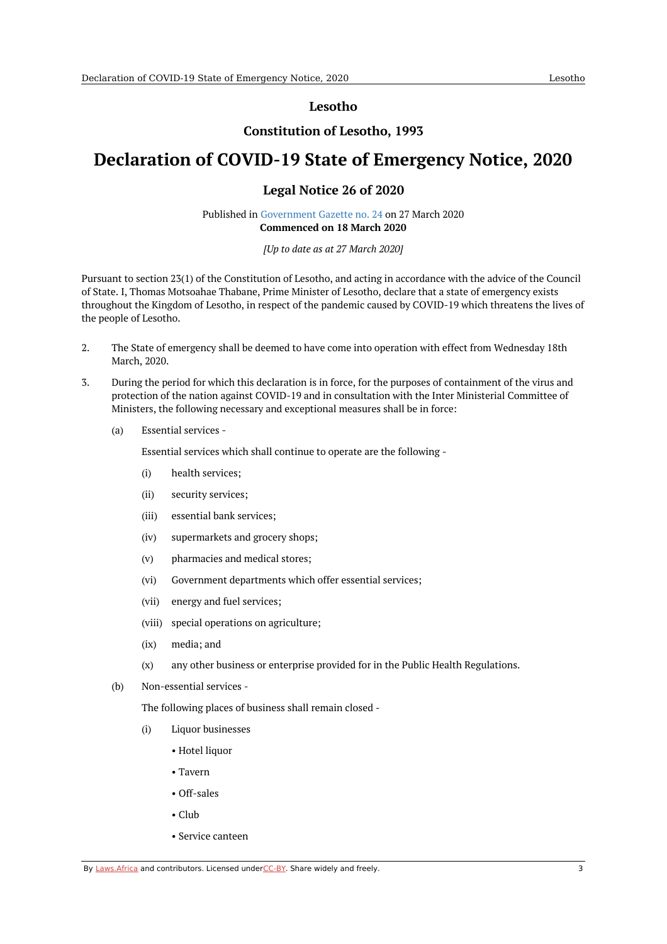**Lesotho**

#### **Constitution of Lesotho, 1993**

## <span id="page-2-1"></span><span id="page-2-0"></span>**Declaration of COVID-19 State of Emergency Notice, 2020**

#### **Legal Notice 26 of 2020**

Published in [Government](https://commons.laws.africa/akn/ls/act/ln/2020/26/media/publication/ls-act-ln-2020-26-publication-document.pdf) Gazette no. 24 on 27 March 2020 **Commenced on 18 March 2020**

#### *[Up to date as at 27 March 2020]*

Pursuant to section 23(1) of the Constitution of Lesotho, and acting in accordance with the advice of the Council of State. I, Thomas Motsoahae Thabane, Prime Minister of Lesotho, declare that a state of emergency exists throughout the Kingdom of Lesotho, in respect of the pandemic caused by COVID-19 which threatens the lives of the people of Lesotho.

- 2. The State of emergency shall be deemed to have come into operation with effect from Wednesday 18th March, 2020.
- 3. During the period for which this declaration is in force, for the purposes of containment of the virus and protection of the nation against COVID-19 and in consultation with the Inter Ministerial Committee of Ministers, the following necessary and exceptional measures shall be in force:
	- (a) Essential services -

Essential services which shall continue to operate are the following -

- (i) health services;
- (ii) security services;
- (iii) essential bank services;
- (iv) supermarkets and grocery shops;
- (v) pharmacies and medical stores;
- (vi) Government departments which offer essential services;
- (vii) energy and fuel services;
- (viii) special operations on agriculture;
- (ix) media; and
- (x) any other business or enterprise provided for in the Public Health Regulations.
- (b) Non-essential services -

The following places of business shall remain closed -

- (i) Liquor businesses
	- Hotel liquor
	- Tavern
	- Off-sales
	- Club
	- Service canteen